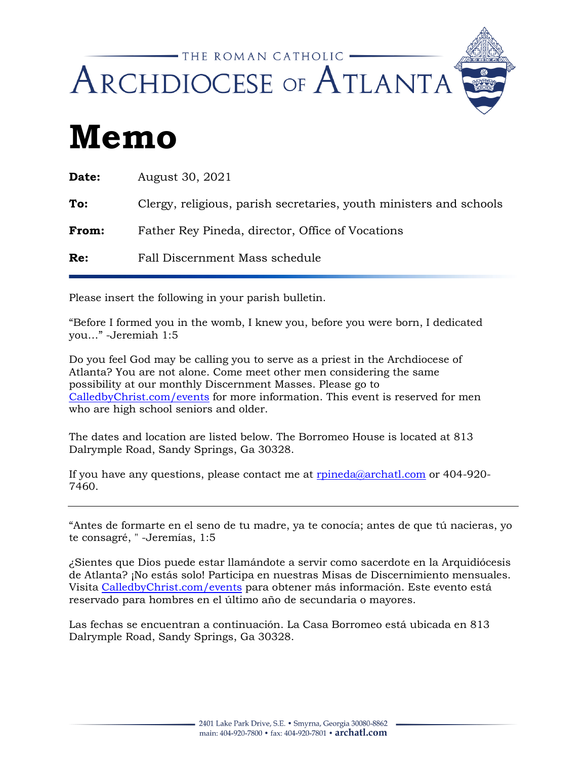

## **Memo**

| <b>Date:</b> | August 30, 2021                                                    |  |
|--------------|--------------------------------------------------------------------|--|
| To:          | Clergy, religious, parish secretaries, youth ministers and schools |  |
| <b>From:</b> | Father Rey Pineda, director, Office of Vocations                   |  |
| Re:          | Fall Discernment Mass schedule                                     |  |
|              |                                                                    |  |

Please insert the following in your parish bulletin.

"Before I formed you in the womb, I knew you, before you were born, I dedicated you…" -Jeremiah 1:5

Do you feel God may be calling you to serve as a priest in the Archdiocese of Atlanta? You are not alone. Come meet other men considering the same possibility at our monthly Discernment Masses. Please go to [CalledbyChrist.com/events](http://calledbychrist.com/events/) for more information. This event is reserved for men who are high school seniors and older.

The dates and location are listed below. The Borromeo House is located at 813 Dalrymple Road, Sandy Springs, Ga 30328.

If you have any questions, please contact me at [rpineda@archatl.com](mailto:rpineda@archatl.com) or 404-920-7460.

"Antes de formarte en el seno de tu madre, ya te conocía; antes de que tú nacieras, yo te consagré, " -Jeremías, 1:5

¿Sientes que Dios puede estar llamándote a servir como sacerdote en la Arquidiócesis de Atlanta? ¡No estás solo! Participa en nuestras Misas de Discernimiento mensuales. Visita [CalledbyChrist.com/events](http://calledbychrist.com/events/) para obtener más información. Este evento está reservado para hombres en el último año de secundaria o mayores.

Las fechas se encuentran a continuación. La Casa Borromeo está ubicada en 813 Dalrymple Road, Sandy Springs, Ga 30328.